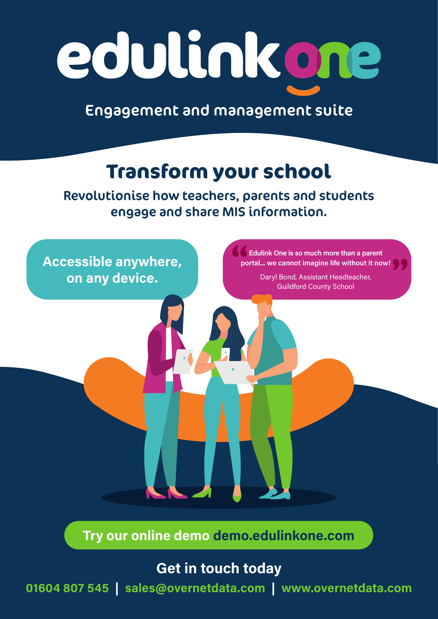# edulinkone

Engagement and management suite

## **Transform your school**

Revolutionise how teachers, parents and students engage and share MIS information.



Try our online demo demo.edulinkone.com

#### Get in touch today

01604 807 545 | sales@overnetdata.com | www.overnetdata.com